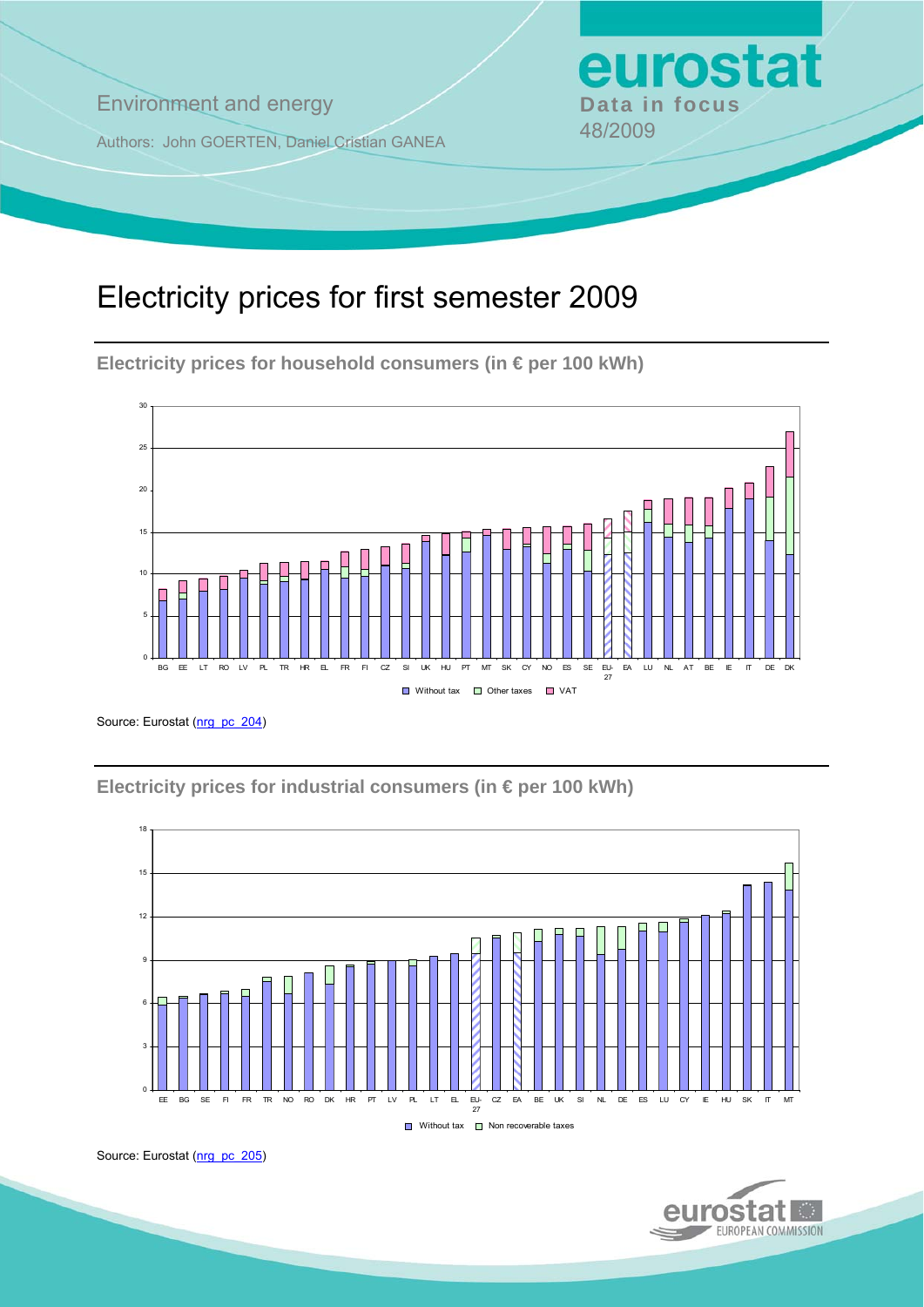**Environment and energy Bata in focus** 

Authors: John GOERTEN, Daniel Cristian GANEA 48/2009

# Electricity prices for first semester 2009

**Electricity prices for household consumers (in € per 100 kWh)** 



Source: Eurostat [\(nrg\\_pc\\_204](http://ec.europa.eu/eurostat/product?mode=view&code=nrg_pc_204))

**Electricity prices for industrial consumers (in € per 100 kWh)** 





eurostat

Source: Eurostat ([nrg\\_pc\\_205](http://ec.europa.eu/eurostat/product?mode=view&code=nrg_pc_205))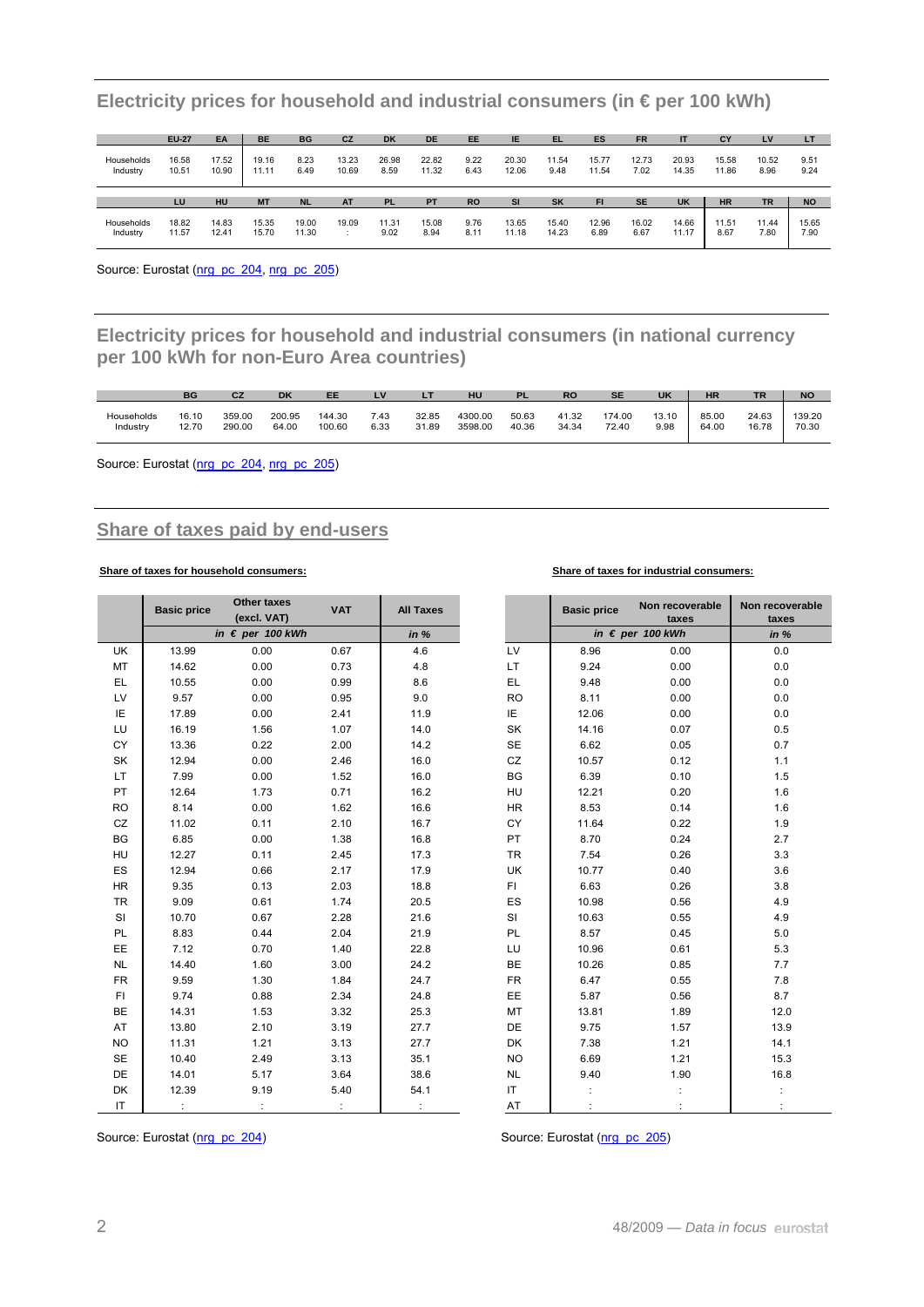|                        | <b>EU-27</b>   | EA             | <b>BE</b>      | <b>BG</b>    | CZ             | <b>DK</b>     | <b>DE</b>      | EE           | IE             | TEL.          | ES             | <b>FR</b>     |                | CY             | LV            | LT           |
|------------------------|----------------|----------------|----------------|--------------|----------------|---------------|----------------|--------------|----------------|---------------|----------------|---------------|----------------|----------------|---------------|--------------|
| Households<br>Industry | 16.58<br>10.51 | 17.52<br>10.90 | 19.16<br>11.11 | 8.23<br>6.49 | 13.23<br>10.69 | 26.98<br>8.59 | 22.82<br>11.32 | 9.22<br>6.43 | 20.30<br>12.06 | 11.54<br>9.48 | 15.77<br>11.54 | 12.73<br>7.02 | 20.93<br>14.35 | 15.58<br>11.86 | 10.52<br>8.96 | 9.51<br>9.24 |
|                        |                |                |                |              |                |               |                |              |                |               |                |               |                |                |               |              |
|                        | LU             | HU             | <b>MT</b>      | <b>NL</b>    | <b>AT</b>      | <b>PL</b>     | <b>PT</b>      | <b>RO</b>    | <b>SI</b>      | <b>SK</b>     | <b>FI</b>      | <b>SE</b>     | <b>UK</b>      | <b>HR</b>      | <b>TR</b>     | <b>NO</b>    |

**Electricity prices for household and industrial consumers (in € per 100 kWh)** 

Source: Eurostat ([nrg\\_pc\\_204](http://ec.europa.eu/eurostat/product?mode=view&code=nrg_pc_204), [nrg\\_pc\\_205\)](http://ec.europa.eu/eurostat/product?mode=view&code=nrg_pc_205)

**Electricity prices for household and industrial consumers (in national currency per 100 kWh for non-Euro Area countries)** 

|            | BG    |        | DK     | EE     |      | LΤ    | HU      |       | <b>RO</b> | <b>SE</b> | <b>UK</b> | <b>HR</b> | <b>TR</b> | <b>NO</b> |
|------------|-------|--------|--------|--------|------|-------|---------|-------|-----------|-----------|-----------|-----------|-----------|-----------|
| Households | 16.10 | 359.00 | 200.95 | 144.30 | 7.43 | 32.85 | 4300.00 | 50.63 | 41.32     | 174.00    | 13.10     | 85.00     | 24.63     | 139.20    |
| Industry   | 12.70 | 290.00 | 64.00  | 100.60 | 6.33 | 31.89 | 3598.00 | 40.36 | 34.34     | 72.40     | 9.98      | 64.00     | 16.78     | 70.30     |

Source: Eurostat ([nrg\\_pc\\_204](http://ec.europa.eu/eurostat/product?mode=view&code=nrg_pc_204), [nrg\\_pc\\_205\)](http://ec.europa.eu/eurostat/product?mode=view&code=nrg_pc_205)

### **Share of taxes paid by end-users**

#### **Share of taxes for household consumers: Share of taxes for industrial consumers:**

|           | <b>Basic price</b> | Other taxes<br>(excl. VAT) | <b>VAT</b> | <b>All Taxes</b> |           | <b>Basic price</b> | Non recoverable<br>taxes  | Non recoverable<br>taxes |
|-----------|--------------------|----------------------------|------------|------------------|-----------|--------------------|---------------------------|--------------------------|
|           |                    | in $\epsilon$ per 100 kWh  |            | in %             |           |                    | in $\epsilon$ per 100 kWh | in %                     |
| <b>UK</b> | 13.99              | 0.00                       | 0.67       | 4.6              | LV        | 8.96               | 0.00                      | 0.0                      |
| MT        | 14.62              | 0.00                       | 0.73       | 4.8              | LT        | 9.24               | 0.00                      | 0.0                      |
| <b>EL</b> | 10.55              | 0.00                       | 0.99       | 8.6              | EL        | 9.48               | 0.00                      | 0.0                      |
| LV        | 9.57               | 0.00                       | 0.95       | 9.0              | <b>RO</b> | 8.11               | 0.00                      | $0.0\,$                  |
| IE        | 17.89              | 0.00                       | 2.41       | 11.9             | IE        | 12.06              | 0.00                      | 0.0                      |
| LU        | 16.19              | 1.56                       | 1.07       | 14.0             | SK        | 14.16              | 0.07                      | 0.5                      |
| CY        | 13.36              | 0.22                       | 2.00       | 14.2             | SE        | 6.62               | 0.05                      | 0.7                      |
| SK        | 12.94              | 0.00                       | 2.46       | 16.0             | CZ        | 10.57              | 0.12                      | 1.1                      |
| LT        | 7.99               | 0.00                       | 1.52       | 16.0             | BG        | 6.39               | 0.10                      | 1.5                      |
| PT        | 12.64              | 1.73                       | 0.71       | 16.2             | HU        | 12.21              | 0.20                      | 1.6                      |
| <b>RO</b> | 8.14               | 0.00                       | 1.62       | 16.6             | <b>HR</b> | 8.53               | 0.14                      | 1.6                      |
| CZ        | 11.02              | 0.11                       | 2.10       | 16.7             | CY        | 11.64              | 0.22                      | 1.9                      |
| BG        | 6.85               | 0.00                       | 1.38       | 16.8             | PT        | 8.70               | 0.24                      | 2.7                      |
| HU        | 12.27              | 0.11                       | 2.45       | 17.3             | <b>TR</b> | 7.54               | 0.26                      | 3.3                      |
| ES        | 12.94              | 0.66                       | 2.17       | 17.9             | UK        | 10.77              | 0.40                      | 3.6                      |
| <b>HR</b> | 9.35               | 0.13                       | 2.03       | 18.8             | FI.       | 6.63               | 0.26                      | 3.8                      |
| <b>TR</b> | 9.09               | 0.61                       | 1.74       | 20.5             | ES        | 10.98              | 0.56                      | 4.9                      |
| SI        | 10.70              | 0.67                       | 2.28       | 21.6             | SI        | 10.63              | 0.55                      | 4.9                      |
| PL        | 8.83               | 0.44                       | 2.04       | 21.9             | PL        | 8.57               | 0.45                      | $5.0$                    |
| EE        | 7.12               | 0.70                       | 1.40       | 22.8             | LU        | 10.96              | 0.61                      | 5.3                      |
| <b>NL</b> | 14.40              | 1.60                       | 3.00       | 24.2             | BE        | 10.26              | 0.85                      | 7.7                      |
| <b>FR</b> | 9.59               | 1.30                       | 1.84       | 24.7             | <b>FR</b> | 6.47               | 0.55                      | 7.8                      |
| FI.       | 9.74               | 0.88                       | 2.34       | 24.8             | EE        | 5.87               | 0.56                      | 8.7                      |
| BE        | 14.31              | 1.53                       | 3.32       | 25.3             | MT        | 13.81              | 1.89                      | 12.0                     |
| AT        | 13.80              | 2.10                       | 3.19       | 27.7             | DE        | 9.75               | 1.57                      | 13.9                     |
| <b>NO</b> | 11.31              | 1.21                       | 3.13       | 27.7             | DK        | 7.38               | 1.21                      | 14.1                     |
| <b>SE</b> | 10.40              | 2.49                       | 3.13       | 35.1             | <b>NO</b> | 6.69               | 1.21                      | 15.3                     |
| DE        | 14.01              | 5.17                       | 3.64       | 38.6             | NL        | 9.40               | 1.90                      | 16.8                     |
| DK        | 12.39              | 9.19                       | 5.40       | 54.1             | IT        |                    |                           |                          |
| IT        | $\ddot{\cdot}$     |                            |            |                  | AT        |                    |                           |                          |

Source: Eurostat [\(nrg\\_pc\\_204](http://ec.europa.eu/eurostat/product?mode=view&code=nrg_pc_204)) Source: Eurostat [\(nrg\\_pc\\_205\)](http://ec.europa.eu/eurostat/product?mode=view&code=nrg_pc_205)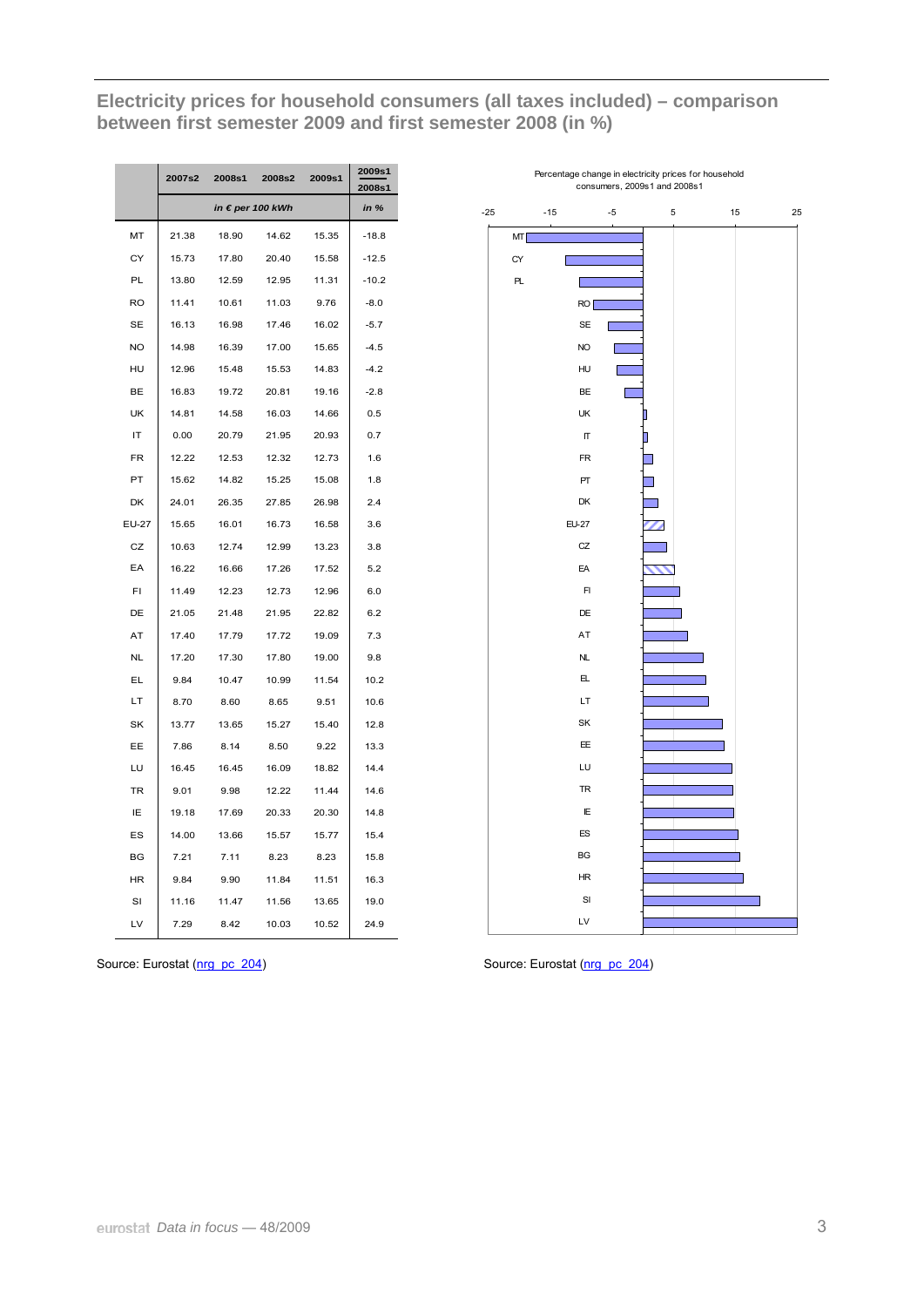**Electricity prices for household consumers (all taxes included) – comparison between first semester 2009 and first semester 2008 (in %)** 

|           | 2007s2 | 2008s1           | 2008s2 | 2009s1 | 2009s1<br>2008s1 |
|-----------|--------|------------------|--------|--------|------------------|
|           |        | in € per 100 kWh |        |        | in %             |
| MT        | 21.38  | 18.90            | 14.62  | 15.35  | $-18.8$          |
| CY        | 15.73  | 17.80            | 20.40  | 15.58  | $-12.5$          |
| PL        | 13.80  | 12.59            | 12.95  | 11.31  | $-10.2$          |
| RO        | 11.41  | 10.61            | 11.03  | 9.76   | $-8.0$           |
| <b>SE</b> | 16.13  | 16.98            | 17.46  | 16.02  | $-5.7$           |
| <b>NO</b> | 14.98  | 16.39            | 17.00  | 15.65  | $-4.5$           |
| HU        | 12.96  | 15.48            | 15.53  | 14.83  | $-4.2$           |
| BE        | 16.83  | 19.72            | 20.81  | 19.16  | $-2.8$           |
| UK        | 14.81  | 14.58            | 16.03  | 14.66  | 0.5              |
| IT        | 0.00   | 20.79            | 21.95  | 20.93  | 0.7              |
| <b>FR</b> | 12.22  | 12.53            | 12.32  | 12.73  | 1.6              |
| PT        | 15.62  | 14.82            | 15.25  | 15.08  | 1.8              |
| DK        | 24.01  | 26.35            | 27.85  | 26.98  | 2.4              |
| EU-27     | 15.65  | 16.01            | 16.73  | 16.58  | 3.6              |
| CZ        | 10.63  | 12.74            | 12.99  | 13.23  | 3.8              |
| EA        | 16.22  | 16.66            | 17.26  | 17.52  | 5.2              |
| FI        | 11.49  | 12.23            | 12.73  | 12.96  | 6.0              |
| DE        | 21.05  | 21.48            | 21.95  | 22.82  | 6.2              |
| AT        | 17.40  | 17.79            | 17.72  | 19.09  | 7.3              |
| <b>NL</b> | 17.20  | 17.30            | 17.80  | 19.00  | 9.8              |
| EL        | 9.84   | 10.47            | 10.99  | 11.54  | 10.2             |
| LT        | 8.70   | 8.60             | 8.65   | 9.51   | 10.6             |
| SK        | 13.77  | 13.65            | 15.27  | 15.40  | 12.8             |
| EE        | 7.86   | 8.14             | 8.50   | 9.22   | 13.3             |
| LU        | 16.45  | 16.45            | 16.09  | 18.82  | 14.4             |
| TR        | 9.01   | 9.98             | 12.22  | 11.44  | 14.6             |
| IΕ        | 19.18  | 17.69            | 20.33  | 20.30  | 14.8             |
| ES        | 14.00  | 13.66            | 15.57  | 15.77  | 15.4             |
| BG        | 7.21   | 7.11             | 8.23   | 8.23   | 15.8             |
| HR        | 9.84   | 9.90             | 11.84  | 11.51  | 16.3             |
| SI        | 11.16  | 11.47            | 11.56  | 13.65  | 19.0             |
| LV        | 7.29   | 8.42             | 10.03  | 10.52  | 24.9             |



Source: Eurostat ([nrg\\_pc\\_204](http://ec.europa.eu/eurostat/product?mode=view&code=nrg_pc_204)) Source: Eurostat [\(nrg\\_pc\\_204](http://ec.europa.eu/eurostat/product?mode=view&code=nrg_pc_204))

J.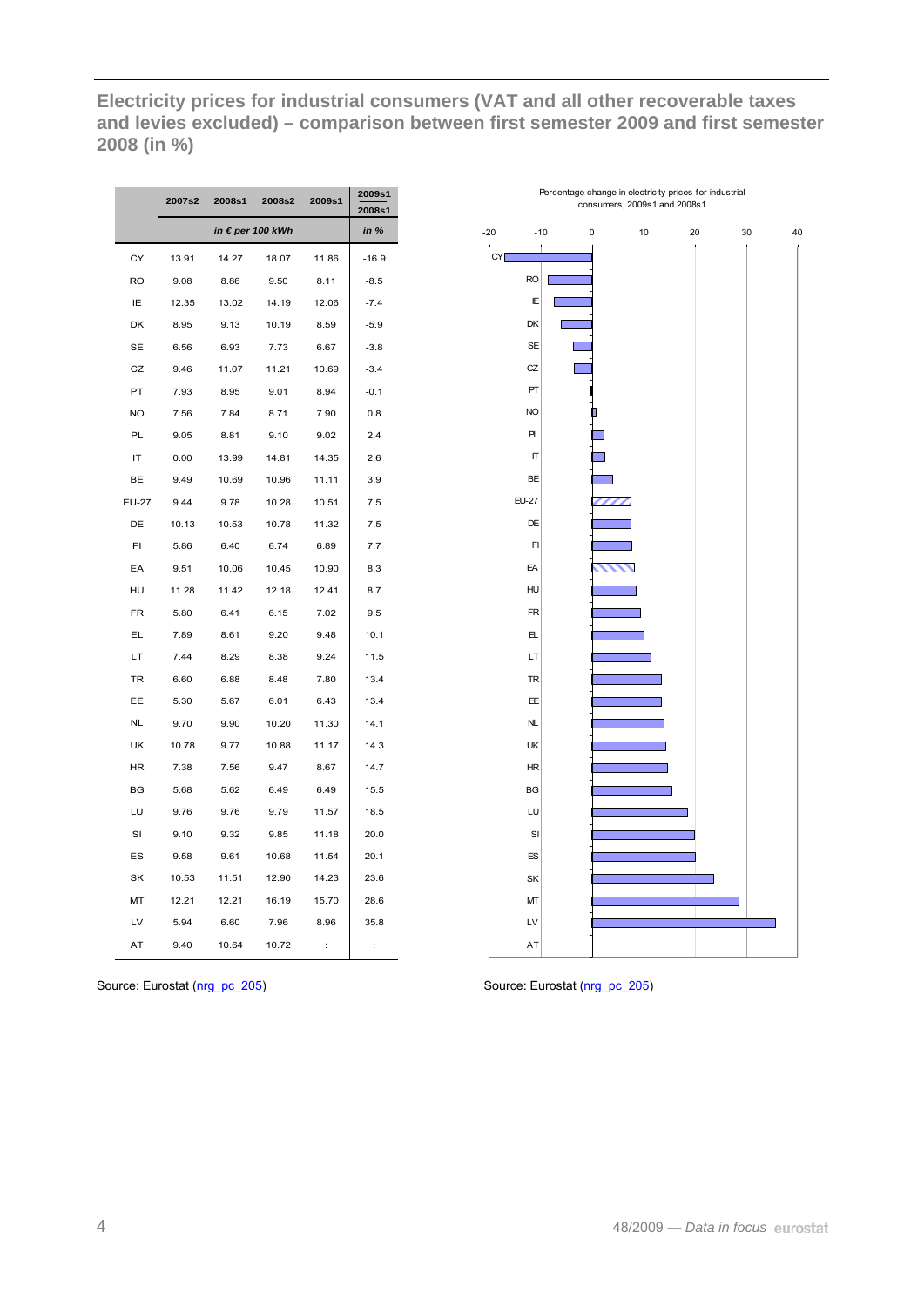**Electricity prices for industrial consumers (VAT and all other recoverable taxes and levies excluded) – comparison between first semester 2009 and first semester 2008 (in %)** 

|           | 2007s2 | 2008s1 | 2008s2           | 2009s1   | 2009s1<br>2008s1 |
|-----------|--------|--------|------------------|----------|------------------|
|           |        |        | in € per 100 kWh |          | in %             |
| CY        | 13.91  | 14.27  | 18.07            | 11.86    | $-16.9$          |
| <b>RO</b> | 9.08   | 8.86   | 9.50             | 8.11     | $-8.5$           |
| ΙE        | 12.35  | 13.02  | 14.19            | 12.06    | $-7.4$           |
| DK        | 8.95   | 9.13   | 10.19            | 8.59     | $-5.9$           |
| <b>SE</b> | 6.56   | 6.93   | 7.73             | 6.67     | $-3.8$           |
| CZ        | 9.46   | 11.07  | 11.21            | 10.69    | $-3.4$           |
| PT        | 7.93   | 8.95   | 9.01             | 8.94     | $-0.1$           |
| NO        | 7.56   | 7.84   | 8.71             | 7.90     | 0.8              |
| PL        | 9.05   | 8.81   | 9.10             | 9.02     | 2.4              |
| IT        | 0.00   | 13.99  | 14.81            | 14.35    | 2.6              |
| BE        | 9.49   | 10.69  | 10.96            | 11.11    | 3.9              |
| EU-27     | 9.44   | 9.78   | 10.28            | 10.51    | 7.5              |
| DE        | 10.13  | 10.53  | 10.78            | 11.32    | 7.5              |
| FI        | 5.86   | 6.40   | 6.74             | 6.89     | 7.7              |
| EA        | 9.51   | 10.06  | 10.45            | 10.90    | 8.3              |
| HU        | 11.28  | 11.42  | 12.18            | 12.41    | 8.7              |
| <b>FR</b> | 5.80   | 6.41   | 6.15             | 7.02     | 9.5              |
| EL        | 7.89   | 8.61   | 9.20             | 9.48     | 10.1             |
| LT        | 7.44   | 8.29   | 8.38             | 9.24     | 11.5             |
| TR        | 6.60   | 6.88   | 8.48             | 7.80     | 13.4             |
| EЕ        | 5.30   | 5.67   | 6.01             | 6.43     | 13.4             |
| NL        | 9.70   | 9.90   | 10.20            | 11.30    | 14.1             |
| UK        | 10.78  | 9.77   | 10.88            | 11.17    | 14.3             |
| HR        | 7.38   | 7.56   | 9.47             | 8.67     | 14.7             |
| BG        | 5.68   | 5.62   | 6.49             | 6.49     | 15.5             |
| LU        | 9.76   | 9.76   | 9.79             | 11.57    | 18.5             |
| SI        | 9.10   | 9.32   | 9.85             | 11.18    | 20.0             |
| ES        | 9.58   | 9.61   | 10.68            | 11.54    | 20.1             |
| SK        | 10.53  | 11.51  | 12.90            | 14.23    | 23.6             |
| MT        | 12.21  | 12.21  | 16.19            | 15.70    | 28.6             |
| LV        | 5.94   | 6.60   | 7.96             | 8.96     | 35.8             |
| AT        | 9.40   | 10.64  | 10.72            | $\vdots$ | $\vdots$         |



Source: Eurostat ([nrg\\_pc\\_205](http://ec.europa.eu/eurostat/product?mode=view&code=nrg_pc_205)) Source: Eurostat [\(nrg\\_pc\\_205](http://ec.europa.eu/eurostat/product?mode=view&code=nrg_pc_205))

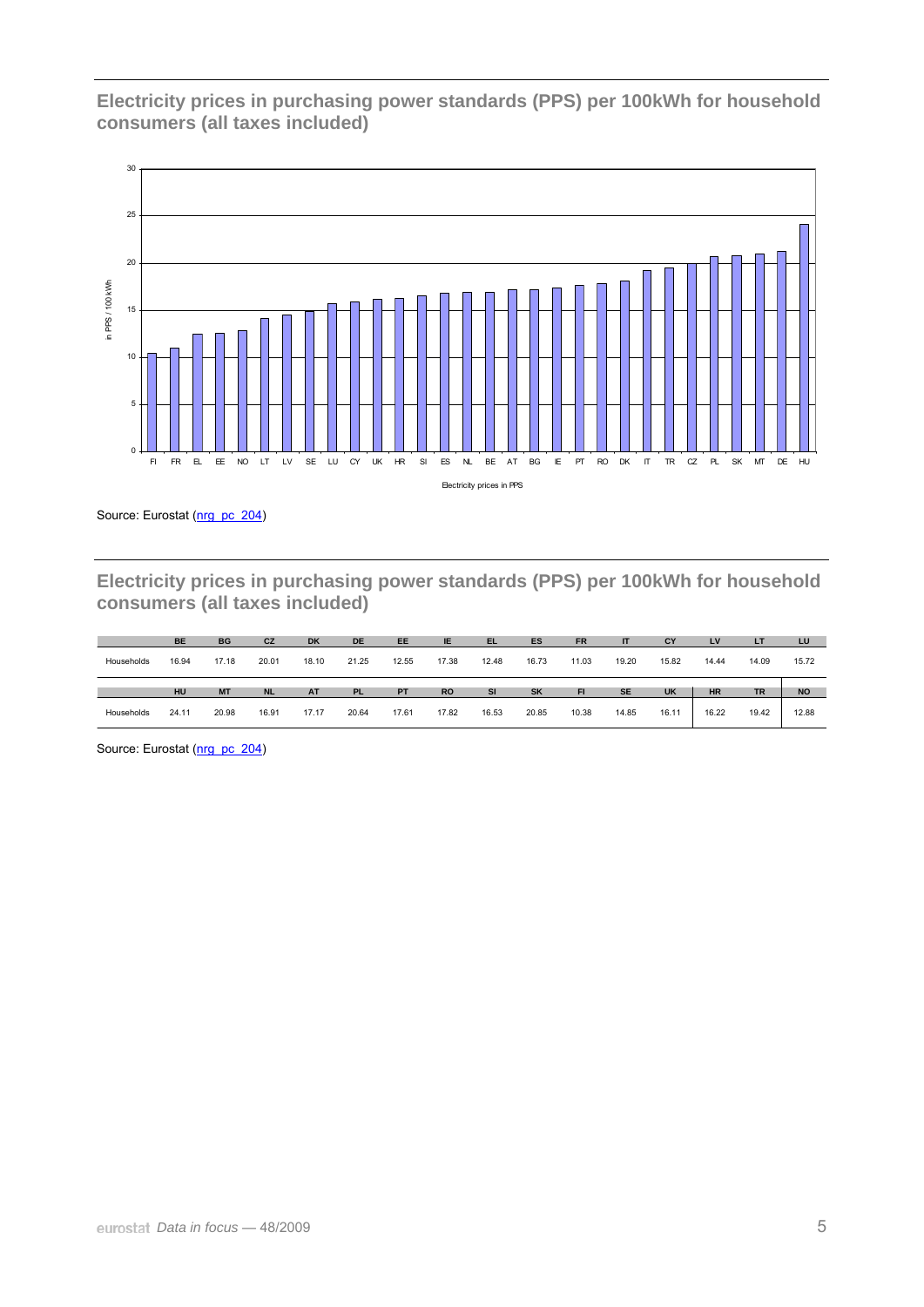**Electricity prices in purchasing power standards (PPS) per 100kWh for household consumers (all taxes included)** 



Source: Eurostat ([nrg\\_pc\\_204](http://ec.europa.eu/eurostat/product?mode=view&code=nrg_pc_204))

**Electricity prices in purchasing power standards (PPS) per 100kWh for household consumers (all taxes included)** 

|            | <b>BE</b> | <b>BG</b> | <b>CZ</b> | <b>DK</b> | <b>DE</b> | <b>EE</b> | IE        | <b>EL</b> | ES        | <b>FR</b> | IT        | CY        | LV        | <b>LT</b> | LU        |
|------------|-----------|-----------|-----------|-----------|-----------|-----------|-----------|-----------|-----------|-----------|-----------|-----------|-----------|-----------|-----------|
| Households | 16.94     | 17.18     | 20.01     | 18.10     | 21.25     | 12.55     | 17.38     | 12.48     | 16.73     | 11.03     | 19.20     | 15.82     | 14.44     | 14.09     | 15.72     |
|            |           |           |           |           |           |           |           |           |           |           |           |           |           |           |           |
|            | HU        | <b>MT</b> | <b>NL</b> | <b>AT</b> | <b>PL</b> | <b>PT</b> | <b>RO</b> | <b>SI</b> | <b>SK</b> | <b>FI</b> | <b>SE</b> | <b>UK</b> | <b>HR</b> | <b>TR</b> | <b>NO</b> |

Source: Eurostat ([nrg\\_pc\\_204](http://ec.europa.eu/eurostat/product?mode=view&code=nrg_pc_204))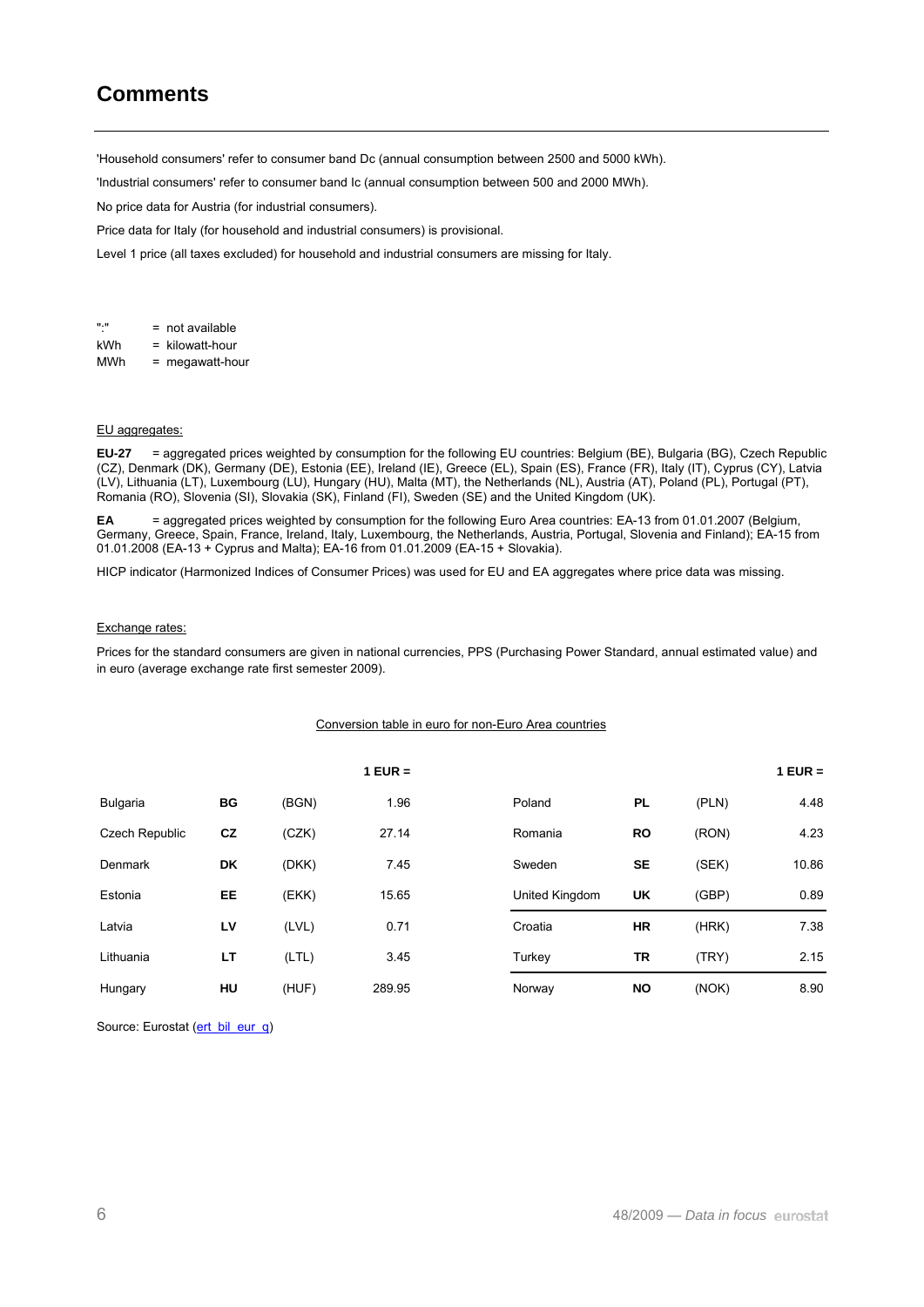# **Comments**

'Household consumers' refer to consumer band Dc (annual consumption between 2500 and 5000 kWh).

'Industrial consumers' refer to consumer band Ic (annual consumption between 500 and 2000 MWh).

No price data for Austria (for industrial consumers).

Price data for Italy (for household and industrial consumers) is provisional.

Level 1 price (all taxes excluded) for household and industrial consumers are missing for Italy.

":" = not available kWh = kilowatt-hour MWh = megawatt-hour

#### EU aggregates:

**EU-27** = aggregated prices weighted by consumption for the following EU countries: Belgium (BE), Bulgaria (BG), Czech Republic (CZ), Denmark (DK), Germany (DE), Estonia (EE), Ireland (IE), Greece (EL), Spain (ES), France (FR), Italy (IT), Cyprus (CY), Latvia (LV), Lithuania (LT), Luxembourg (LU), Hungary (HU), Malta (MT), the Netherlands (NL), Austria (AT), Poland (PL), Portugal (PT), Romania (RO), Slovenia (SI), Slovakia (SK), Finland (FI), Sweden (SE) and the United Kingdom (UK).

**EA** = aggregated prices weighted by consumption for the following Euro Area countries: EA-13 from 01.01.2007 (Belgium, Germany, Greece, Spain, France, Ireland, Italy, Luxembourg, the Netherlands, Austria, Portugal, Slovenia and Finland); EA-15 from 01.01.2008 (EA-13 + Cyprus and Malta); EA-16 from 01.01.2009 (EA-15 + Slovakia).

HICP indicator (Harmonized Indices of Consumer Prices) was used for EU and EA aggregates where price data was missing.

#### Exchange rates:

Prices for the standard consumers are given in national currencies, PPS (Purchasing Power Standard, annual estimated value) and in euro (average exchange rate first semester 2009).

#### Conversion table in euro for non-Euro Area countries

|                 |    |       | $1$ EUR = |                |           |       | $1$ EUR = |
|-----------------|----|-------|-----------|----------------|-----------|-------|-----------|
| <b>Bulgaria</b> | BG | (BGN) | 1.96      | Poland         | PL        | (PLN) | 4.48      |
| Czech Republic  | cz | (CZK) | 27.14     | Romania        | <b>RO</b> | (RON) | 4.23      |
| <b>Denmark</b>  | DK | (DKK) | 7.45      | Sweden         | <b>SE</b> | (SEK) | 10.86     |
| Estonia         | EE | (EKK) | 15.65     | United Kingdom | <b>UK</b> | (GBP) | 0.89      |
| Latvia          | LV | (LVL) | 0.71      | Croatia        | <b>HR</b> | (HRK) | 7.38      |
| Lithuania       | LT | (LTL) | 3.45      | Turkey         | TR        | (TRY) | 2.15      |
| Hungary         | HU | (HUF) | 289.95    | Norway         | <b>NO</b> | (NOK) | 8.90      |

Source: Eurostat ([ert\\_bil\\_eur\\_q](http://ec.europa.eu/eurostat/product?mode=view&code=ert_bil_eur_q))